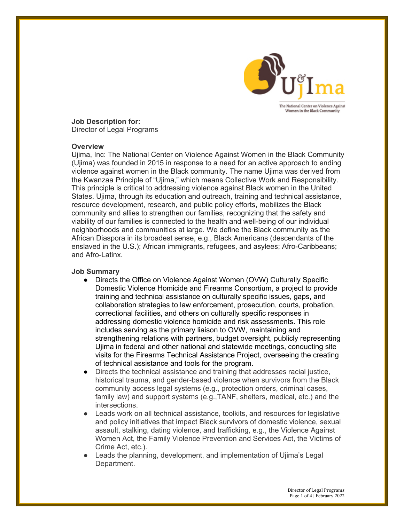

**Job Description for:** Director of Legal Programs

#### **Overview**

Ujima, Inc: The National Center on Violence Against Women in the Black Community (Ujima) was founded in 2015 in response to a need for an active approach to ending violence against women in the Black community. The name Ujima was derived from the Kwanzaa Principle of "Ujima," which means Collective Work and Responsibility. This principle is critical to addressing violence against Black women in the United States. Ujima, through its education and outreach, training and technical assistance, resource development, research, and public policy efforts, mobilizes the Black community and allies to strengthen our families, recognizing that the safety and viability of our families is connected to the health and well-being of our individual neighborhoods and communities at large. We define the Black community as the African Diaspora in its broadest sense, e.g., Black Americans (descendants of the enslaved in the U.S.); African immigrants, refugees, and asylees; Afro-Caribbeans; and Afro-Latinx.

### **Job Summary**

- Directs the Office on Violence Against Women (OVW) Culturally Specific Domestic Violence Homicide and Firearms Consortium, a project to provide training and technical assistance on culturally specific issues, gaps, and collaboration strategies to law enforcement, prosecution, courts, probation, correctional facilities, and others on culturally specific responses in addressing domestic violence homicide and risk assessments. This role includes serving as the primary liaison to OVW, maintaining and strengthening relations with partners, budget oversight, publicly representing Ujima in federal and other national and statewide meetings, conducting site visits for the Firearms Technical Assistance Project, overseeing the creating of technical assistance and tools for the program.
- Directs the technical assistance and training that addresses racial justice, historical trauma, and gender-based violence when survivors from the Black community access legal systems (e.g., protection orders, criminal cases, family law) and support systems (e.g.,TANF, shelters, medical, etc.) and the intersections.
- Leads work on all technical assistance, toolkits, and resources for legislative and policy initiatives that impact Black survivors of domestic violence, sexual assault, stalking, dating violence, and trafficking, e.g., the Violence Against Women Act, the Family Violence Prevention and Services Act, the Victims of Crime Act, etc.).
- Leads the planning, development, and implementation of Ujima's Legal Department.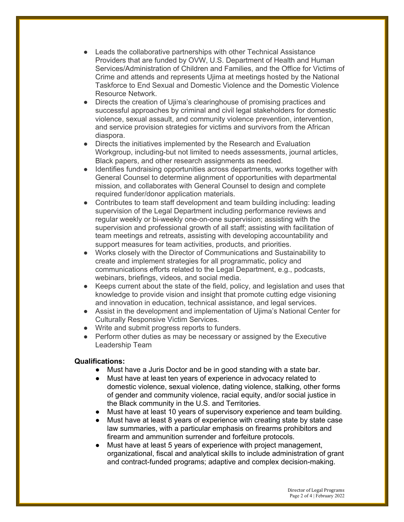- Leads the collaborative partnerships with other Technical Assistance Providers that are funded by OVW, U.S. Department of Health and Human Services/Administration of Children and Families, and the Office for Victims of Crime and attends and represents Ujima at meetings hosted by the National Taskforce to End Sexual and Domestic Violence and the Domestic Violence Resource Network.
- Directs the creation of Ujima's clearinghouse of promising practices and successful approaches by criminal and civil legal stakeholders for domestic violence, sexual assault, and community violence prevention, intervention, and service provision strategies for victims and survivors from the African diaspora.
- Directs the initiatives implemented by the Research and Evaluation Workgroup, including-but not limited to needs assessments, journal articles, Black papers, and other research assignments as needed.
- Identifies fundraising opportunities across departments, works together with General Counsel to determine alignment of opportunities with departmental mission, and collaborates with General Counsel to design and complete required funder/donor application materials.
- Contributes to team staff development and team building including: leading supervision of the Legal Department including performance reviews and regular weekly or bi-weekly one-on-one supervision; assisting with the supervision and professional growth of all staff; assisting with facilitation of team meetings and retreats, assisting with developing accountability and support measures for team activities, products, and priorities.
- Works closely with the Director of Communications and Sustainability to create and implement strategies for all programmatic, policy and communications efforts related to the Legal Department, e.g., podcasts, webinars, briefings, videos, and social media.
- Keeps current about the state of the field, policy, and legislation and uses that knowledge to provide vision and insight that promote cutting edge visioning and innovation in education, technical assistance, and legal services.
- Assist in the development and implementation of Ujima's National Center for Culturally Responsive Victim Services.
- Write and submit progress reports to funders.
- Perform other duties as may be necessary or assigned by the Executive Leadership Team

# **Qualifications:**

- Must have a Juris Doctor and be in good standing with a state bar.
- Must have at least ten years of experience in advocacy related to domestic violence, sexual violence, dating violence, stalking, other forms of gender and community violence, racial equity, and/or social justice in the Black community in the U.S. and Territories.
- Must have at least 10 years of supervisory experience and team building.
- Must have at least 8 years of experience with creating state by state case law summaries, with a particular emphasis on firearms prohibitors and firearm and ammunition surrender and forfeiture protocols.
- Must have at least 5 years of experience with project management, organizational, fiscal and analytical skills to include administration of grant and contract-funded programs; adaptive and complex decision-making.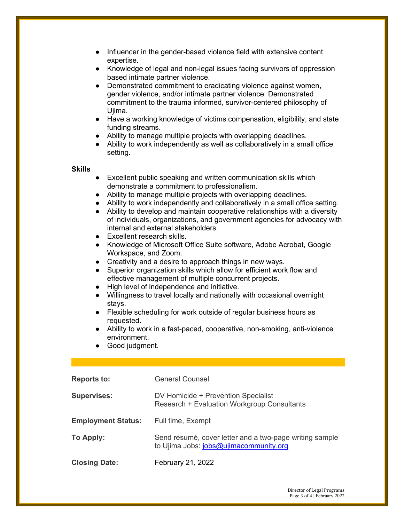- Influencer in the gender-based violence field with extensive content expertise.
- Knowledge of legal and non-legal issues facing survivors of oppression based intimate partner violence.
- Demonstrated commitment to eradicating violence against women, gender violence, and/or intimate partner violence. Demonstrated commitment to the trauma informed, survivor-centered philosophy of Ujima.
- Have a working knowledge of victims compensation, eligibility, and state funding streams.
- Ability to manage multiple projects with overlapping deadlines.
- Ability to work independently as well as collaboratively in a small office setting.

### **Skills**

- Excellent public speaking and written communication skills which demonstrate a commitment to professionalism.
- Ability to manage multiple projects with overlapping deadlines.
- Ability to work independently and collaboratively in a small office setting.
- Ability to develop and maintain cooperative relationships with a diversity of individuals, organizations, and government agencies for advocacy with internal and external stakeholders.
- Excellent research skills.
- Knowledge of Microsoft Office Suite software, Adobe Acrobat, Google Workspace, and Zoom.
- Creativity and a desire to approach things in new ways.
- Superior organization skills which allow for efficient work flow and effective management of multiple concurrent projects.
- High level of independence and initiative.
- Willingness to travel locally and nationally with occasional overnight stays.
- Flexible scheduling for work outside of regular business hours as requested.
- Ability to work in a fast-paced, cooperative, non-smoking, anti-violence environment.
- Good judgment.

| <b>Reports to:</b>        | <b>General Counsel</b>                                                                            |
|---------------------------|---------------------------------------------------------------------------------------------------|
| <b>Supervises:</b>        | DV Homicide + Prevention Specialist<br><b>Research + Evaluation Workgroup Consultants</b>         |
| <b>Employment Status:</b> | Full time, Exempt                                                                                 |
| To Apply:                 | Send résumé, cover letter and a two-page writing sample<br>to Ujima Jobs: jobs@ujimacommunity.org |
| <b>Closing Date:</b>      | February 21, 2022                                                                                 |

Director of Legal Programs Page 3 of 4 | February 2022